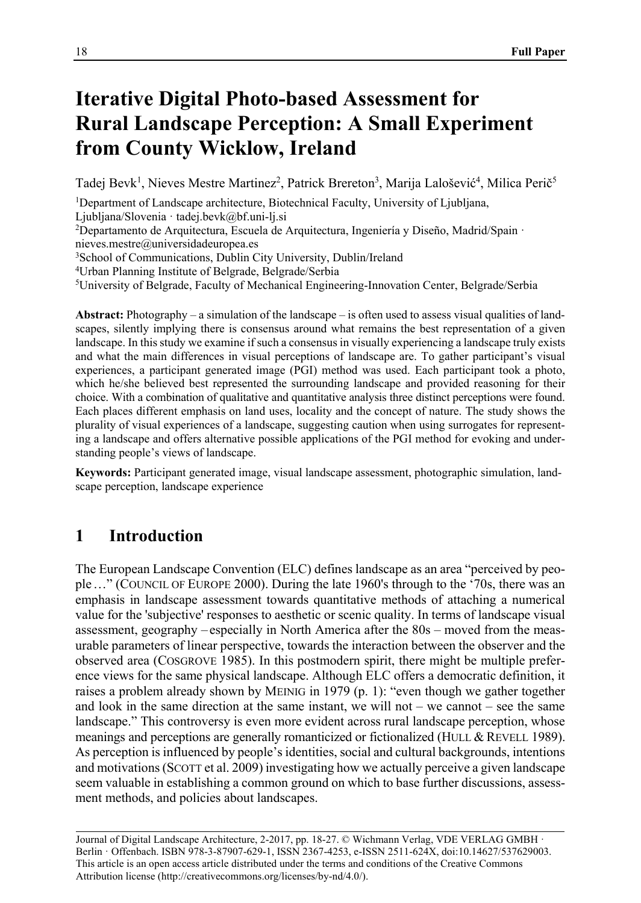# **Iterative Digital Photo-based Assessment for Rural Landscape Perception: A Small Experiment from County Wicklow, Ireland**

Tadej Bevk<sup>1</sup>, Nieves Mestre Martinez<sup>2</sup>, Patrick Brereton<sup>3</sup>, Marija Lalošević<sup>4</sup>, Milica Perič<sup>5</sup>

<sup>1</sup>Department of Landscape architecture, Biotechnical Faculty, University of Ljubljana,

Ljubljana/Slovenia · tadej.bevk@bf.uni-lj.si<br><sup>2</sup>Departamento de Arquitectura, Escuela de Arquitectura, Ingeniería y Diseño, Madrid/Spain ·

nieves.mestre@universidadeuropea.es

3School of Communications, Dublin City University, Dublin/Ireland

4Urban Planning Institute of Belgrade, Belgrade/Serbia

5University of Belgrade, Faculty of Mechanical Engineering-Innovation Center, Belgrade/Serbia

**Abstract:** Photography – a simulation of the landscape – is often used to assess visual qualities of landscapes, silently implying there is consensus around what remains the best representation of a given landscape. In this study we examine if such a consensus in visually experiencing a landscape truly exists and what the main differences in visual perceptions of landscape are. To gather participant's visual experiences, a participant generated image (PGI) method was used. Each participant took a photo, which he/she believed best represented the surrounding landscape and provided reasoning for their choice. With a combination of qualitative and quantitative analysis three distinct perceptions were found. Each places different emphasis on land uses, locality and the concept of nature. The study shows the plurality of visual experiences of a landscape, suggesting caution when using surrogates for representing a landscape and offers alternative possible applications of the PGI method for evoking and understanding people's views of landscape.

**Keywords:** Participant generated image, visual landscape assessment, photographic simulation, landscape perception, landscape experience

# **1 Introduction**

The European Landscape Convention (ELC) defines landscape as an area "perceived by people…" (COUNCIL OF EUROPE 2000). During the late 1960's through to the '70s, there was an emphasis in landscape assessment towards quantitative methods of attaching a numerical value for the 'subjective' responses to aesthetic or scenic quality. In terms of landscape visual assessment, geography – especially in North America after the 80s – moved from the measurable parameters of linear perspective, towards the interaction between the observer and the observed area (COSGROVE 1985). In this postmodern spirit, there might be multiple preference views for the same physical landscape. Although ELC offers a democratic definition, it raises a problem already shown by MEINIG in 1979 (p. 1): "even though we gather together and look in the same direction at the same instant, we will not – we cannot – see the same landscape." This controversy is even more evident across rural landscape perception, whose meanings and perceptions are generally romanticized or fictionalized (HULL & REVELL 1989). As perception is influenced by people's identities, social and cultural backgrounds, intentions and motivations (SCOTT et al. 2009) investigating how we actually perceive a given landscape seem valuable in establishing a common ground on which to base further discussions, assessment methods, and policies about landscapes.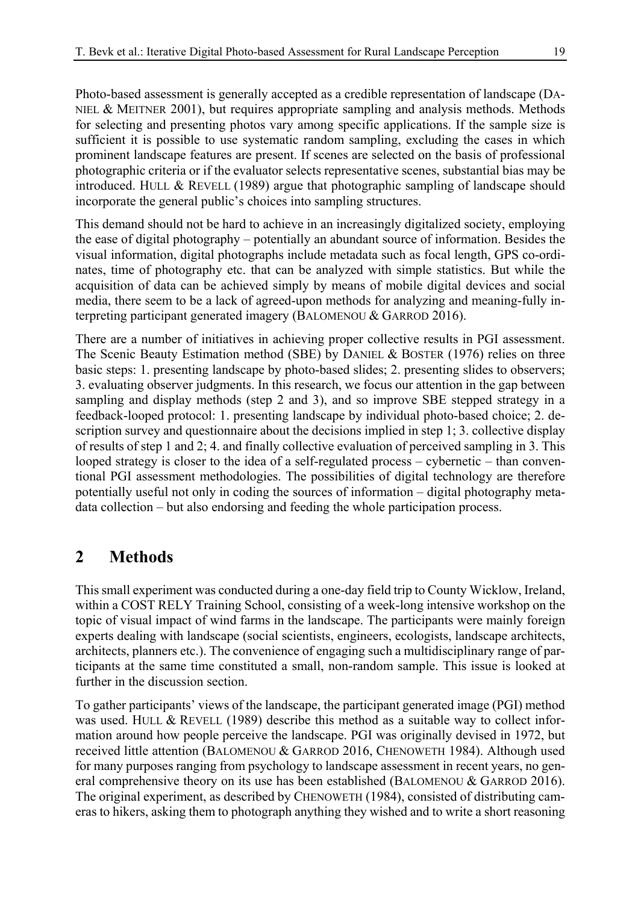Photo-based assessment is generally accepted as a credible representation of landscape (DA-NIEL & MEITNER  $2001$ , but requires appropriate sampling and analysis methods. Methods for selecting and presenting photos vary among specific applications. If the sample size is sufficient it is possible to use systematic random sampling, excluding the cases in which prominent landscape features are present. If scenes are selected on the basis of professional photographic criteria or if the evaluator selects representative scenes, substantial bias may be introduced. HULL & REVELL (1989) argue that photographic sampling of landscape should incorporate the general public's choices into sampling structures.

This demand should not be hard to achieve in an increasingly digitalized society, employing the ease of digital photography – potentially an abundant source of information. Besides the visual information, digital photographs include metadata such as focal length, GPS co-ordinates, time of photography etc. that can be analyzed with simple statistics. But while the acquisition of data can be achieved simply by means of mobile digital devices and social media, there seem to be a lack of agreed-upon methods for analyzing and meaning-fully interpreting participant generated imagery (BALOMENOU & GARROD 2016).

There are a number of initiatives in achieving proper collective results in PGI assessment. The Scenic Beauty Estimation method (SBE) by DANIEL & BOSTER (1976) relies on three basic steps: 1. presenting landscape by photo-based slides; 2. presenting slides to observers; 3. evaluating observer judgments. In this research, we focus our attention in the gap between sampling and display methods (step 2 and 3), and so improve SBE stepped strategy in a feedback-looped protocol: 1. presenting landscape by individual photo-based choice; 2. description survey and questionnaire about the decisions implied in step 1; 3. collective display of results of step 1 and 2; 4. and finally collective evaluation of perceived sampling in 3. This looped strategy is closer to the idea of a self-regulated process – cybernetic – than conventional PGI assessment methodologies. The possibilities of digital technology are therefore potentially useful not only in coding the sources of information – digital photography metadata collection – but also endorsing and feeding the whole participation process.

#### **2 Methods**

This small experiment was conducted during a one-day field trip to County Wicklow, Ireland, within a COST RELY Training School, consisting of a week-long intensive workshop on the topic of visual impact of wind farms in the landscape. The participants were mainly foreign experts dealing with landscape (social scientists, engineers, ecologists, landscape architects, architects, planners etc.). The convenience of engaging such a multidisciplinary range of participants at the same time constituted a small, non-random sample. This issue is looked at further in the discussion section.

To gather participants' views of the landscape, the participant generated image (PGI) method was used. HULL & REVELL (1989) describe this method as a suitable way to collect information around how people perceive the landscape. PGI was originally devised in 1972, but received little attention (BALOMENOU & GARROD 2016, CHENOWETH 1984). Although used for many purposes ranging from psychology to landscape assessment in recent years, no general comprehensive theory on its use has been established (BALOMENOU & GARROD 2016). The original experiment, as described by CHENOWETH (1984), consisted of distributing cameras to hikers, asking them to photograph anything they wished and to write a short reasoning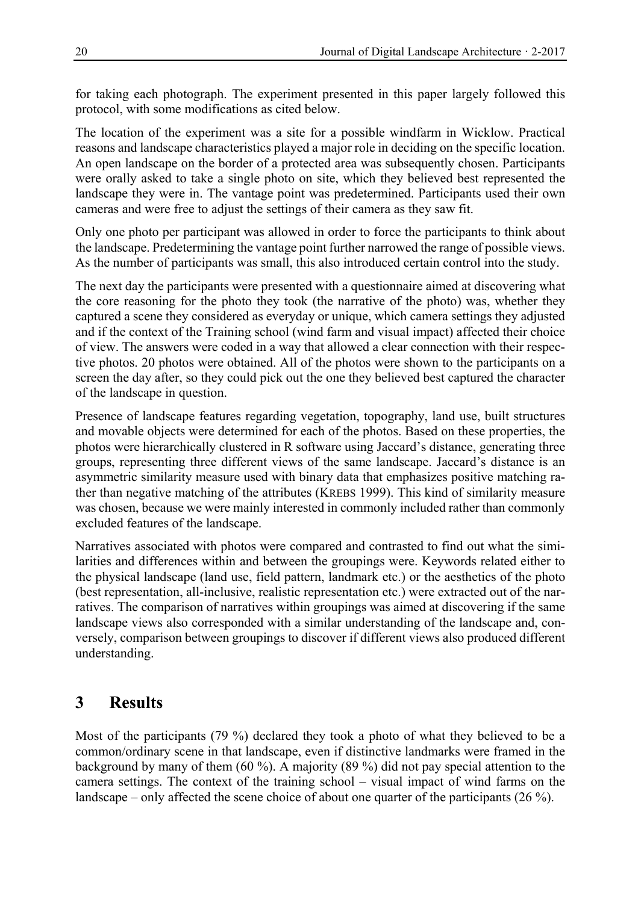for taking each photograph. The experiment presented in this paper largely followed this protocol, with some modifications as cited below.

The location of the experiment was a site for a possible windfarm in Wicklow. Practical reasons and landscape characteristics played a major role in deciding on the specific location. An open landscape on the border of a protected area was subsequently chosen. Participants were orally asked to take a single photo on site, which they believed best represented the landscape they were in. The vantage point was predetermined. Participants used their own cameras and were free to adjust the settings of their camera as they saw fit.

Only one photo per participant was allowed in order to force the participants to think about the landscape. Predetermining the vantage point further narrowed the range of possible views. As the number of participants was small, this also introduced certain control into the study.

The next day the participants were presented with a questionnaire aimed at discovering what the core reasoning for the photo they took (the narrative of the photo) was, whether they captured a scene they considered as everyday or unique, which camera settings they adjusted and if the context of the Training school (wind farm and visual impact) affected their choice of view. The answers were coded in a way that allowed a clear connection with their respective photos. 20 photos were obtained. All of the photos were shown to the participants on a screen the day after, so they could pick out the one they believed best captured the character of the landscape in question.

Presence of landscape features regarding vegetation, topography, land use, built structures and movable objects were determined for each of the photos. Based on these properties, the photos were hierarchically clustered in R software using Jaccard's distance, generating three groups, representing three different views of the same landscape. Jaccard's distance is an asymmetric similarity measure used with binary data that emphasizes positive matching rather than negative matching of the attributes (KREBS 1999). This kind of similarity measure was chosen, because we were mainly interested in commonly included rather than commonly excluded features of the landscape.

Narratives associated with photos were compared and contrasted to find out what the similarities and differences within and between the groupings were. Keywords related either to the physical landscape (land use, field pattern, landmark etc.) or the aesthetics of the photo (best representation, all-inclusive, realistic representation etc.) were extracted out of the narratives. The comparison of narratives within groupings was aimed at discovering if the same landscape views also corresponded with a similar understanding of the landscape and, conversely, comparison between groupings to discover if different views also produced different understanding.

## **3 Results**

Most of the participants (79 %) declared they took a photo of what they believed to be a common/ordinary scene in that landscape, even if distinctive landmarks were framed in the background by many of them (60 %). A majority (89 %) did not pay special attention to the camera settings. The context of the training school – visual impact of wind farms on the landscape – only affected the scene choice of about one quarter of the participants (26 %).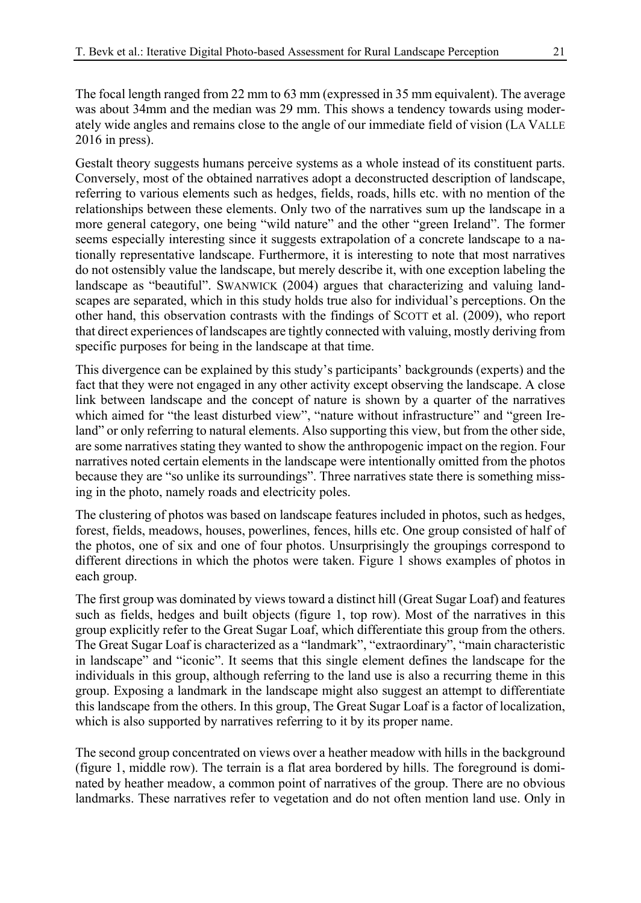The focal length ranged from 22 mm to 63 mm (expressed in 35 mm equivalent). The average was about 34mm and the median was 29 mm. This shows a tendency towards using moderately wide angles and remains close to the angle of our immediate field of vision (LA VALLE 2016 in press).

Gestalt theory suggests humans perceive systems as a whole instead of its constituent parts. Conversely, most of the obtained narratives adopt a deconstructed description of landscape, referring to various elements such as hedges, fields, roads, hills etc. with no mention of the relationships between these elements. Only two of the narratives sum up the landscape in a more general category, one being "wild nature" and the other "green Ireland". The former seems especially interesting since it suggests extrapolation of a concrete landscape to a nationally representative landscape. Furthermore, it is interesting to note that most narratives do not ostensibly value the landscape, but merely describe it, with one exception labeling the landscape as "beautiful". SWANWICK (2004) argues that characterizing and valuing landscapes are separated, which in this study holds true also for individual's perceptions. On the other hand, this observation contrasts with the findings of SCOTT et al. (2009), who report that direct experiences of landscapes are tightly connected with valuing, mostly deriving from specific purposes for being in the landscape at that time.

This divergence can be explained by this study's participants' backgrounds (experts) and the fact that they were not engaged in any other activity except observing the landscape. A close link between landscape and the concept of nature is shown by a quarter of the narratives which aimed for "the least disturbed view", "nature without infrastructure" and "green Ireland" or only referring to natural elements. Also supporting this view, but from the other side, are some narratives stating they wanted to show the anthropogenic impact on the region. Four narratives noted certain elements in the landscape were intentionally omitted from the photos because they are "so unlike its surroundings". Three narratives state there is something missing in the photo, namely roads and electricity poles.

The clustering of photos was based on landscape features included in photos, such as hedges, forest, fields, meadows, houses, powerlines, fences, hills etc. One group consisted of half of the photos, one of six and one of four photos. Unsurprisingly the groupings correspond to different directions in which the photos were taken. Figure 1 shows examples of photos in each group.

The first group was dominated by views toward a distinct hill (Great Sugar Loaf) and features such as fields, hedges and built objects (figure 1, top row). Most of the narratives in this group explicitly refer to the Great Sugar Loaf, which differentiate this group from the others. The Great Sugar Loaf is characterized as a "landmark", "extraordinary", "main characteristic in landscape" and "iconic". It seems that this single element defines the landscape for the individuals in this group, although referring to the land use is also a recurring theme in this group. Exposing a landmark in the landscape might also suggest an attempt to differentiate this landscape from the others. In this group, The Great Sugar Loaf is a factor of localization, which is also supported by narratives referring to it by its proper name.

The second group concentrated on views over a heather meadow with hills in the background (figure 1, middle row). The terrain is a flat area bordered by hills. The foreground is dominated by heather meadow, a common point of narratives of the group. There are no obvious landmarks. These narratives refer to vegetation and do not often mention land use. Only in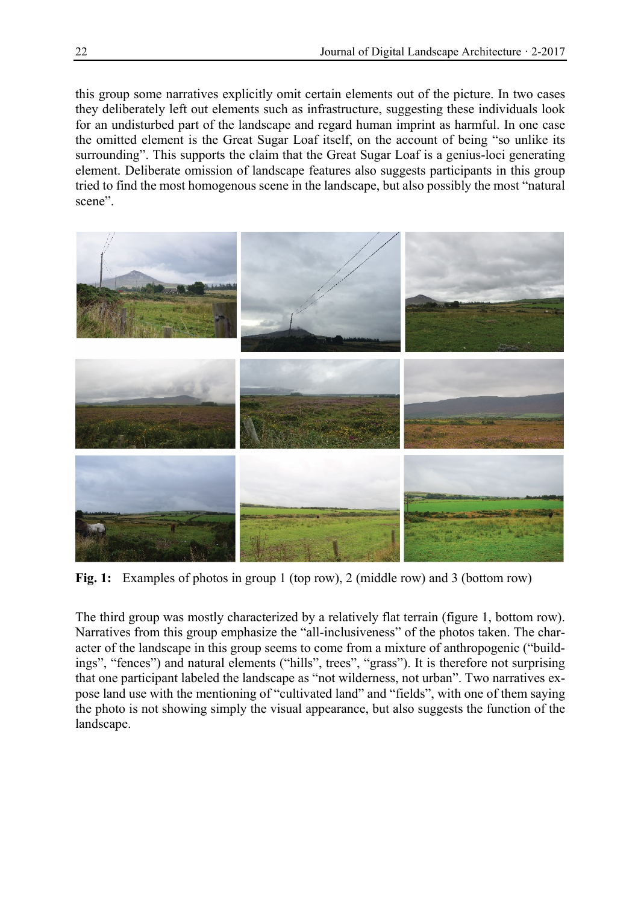this group some narratives explicitly omit certain elements out of the picture. In two cases they deliberately left out elements such as infrastructure, suggesting these individuals look for an undisturbed part of the landscape and regard human imprint as harmful. In one case the omitted element is the Great Sugar Loaf itself, on the account of being "so unlike its surrounding". This supports the claim that the Great Sugar Loaf is a genius-loci generating element. Deliberate omission of landscape features also suggests participants in this group tried to find the most homogenous scene in the landscape, but also possibly the most "natural scene".



**Fig. 1:** Examples of photos in group 1 (top row), 2 (middle row) and 3 (bottom row)

The third group was mostly characterized by a relatively flat terrain (figure 1, bottom row). Narratives from this group emphasize the "all-inclusiveness" of the photos taken. The character of the landscape in this group seems to come from a mixture of anthropogenic ("buildings", "fences") and natural elements ("hills", trees", "grass"). It is therefore not surprising that one participant labeled the landscape as "not wilderness, not urban". Two narratives expose land use with the mentioning of "cultivated land" and "fields", with one of them saying the photo is not showing simply the visual appearance, but also suggests the function of the landscape.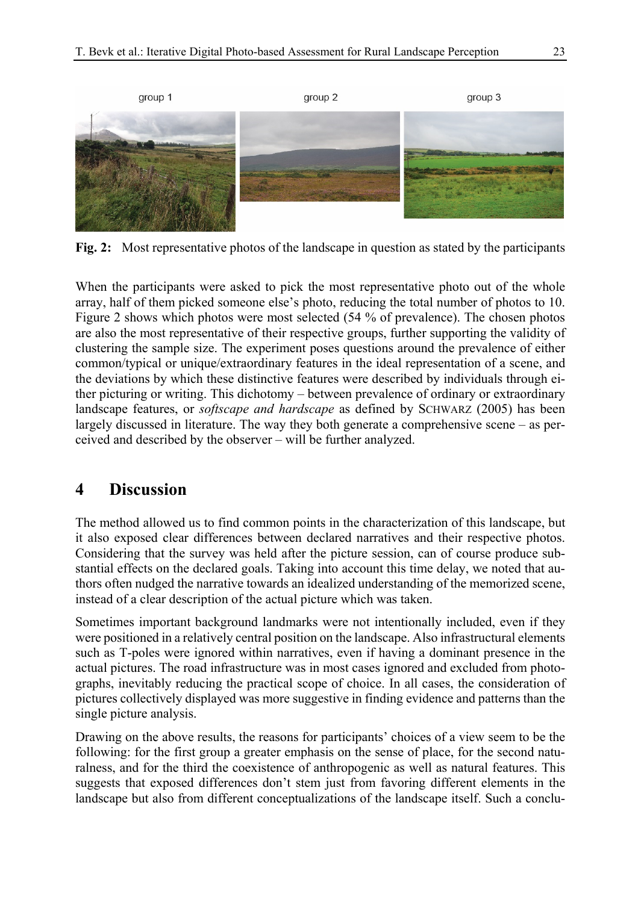

**Fig. 2:** Most representative photos of the landscape in question as stated by the participants

When the participants were asked to pick the most representative photo out of the whole array, half of them picked someone else's photo, reducing the total number of photos to 10. Figure 2 shows which photos were most selected (54 % of prevalence). The chosen photos are also the most representative of their respective groups, further supporting the validity of clustering the sample size. The experiment poses questions around the prevalence of either common/typical or unique/extraordinary features in the ideal representation of a scene, and the deviations by which these distinctive features were described by individuals through either picturing or writing. This dichotomy – between prevalence of ordinary or extraordinary landscape features, or *softscape and hardscape* as defined by SCHWARZ (2005) has been largely discussed in literature. The way they both generate a comprehensive scene – as perceived and described by the observer – will be further analyzed.

#### **4 Discussion**

The method allowed us to find common points in the characterization of this landscape, but it also exposed clear differences between declared narratives and their respective photos. Considering that the survey was held after the picture session, can of course produce substantial effects on the declared goals. Taking into account this time delay, we noted that authors often nudged the narrative towards an idealized understanding of the memorized scene, instead of a clear description of the actual picture which was taken.

Sometimes important background landmarks were not intentionally included, even if they were positioned in a relatively central position on the landscape. Also infrastructural elements such as T-poles were ignored within narratives, even if having a dominant presence in the actual pictures. The road infrastructure was in most cases ignored and excluded from photographs, inevitably reducing the practical scope of choice. In all cases, the consideration of pictures collectively displayed was more suggestive in finding evidence and patterns than the single picture analysis.

Drawing on the above results, the reasons for participants' choices of a view seem to be the following: for the first group a greater emphasis on the sense of place, for the second naturalness, and for the third the coexistence of anthropogenic as well as natural features. This suggests that exposed differences don't stem just from favoring different elements in the landscape but also from different conceptualizations of the landscape itself. Such a conclu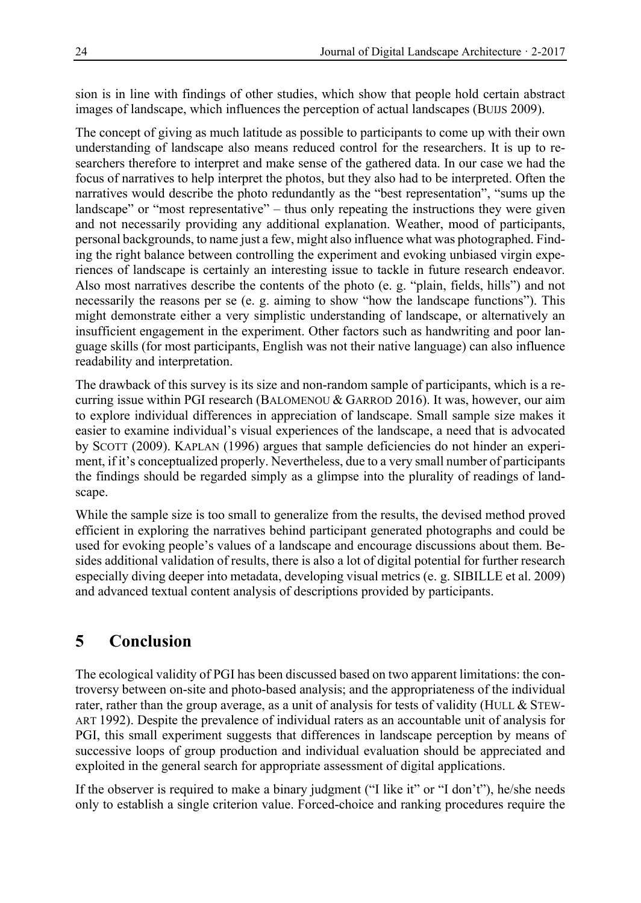sion is in line with findings of other studies, which show that people hold certain abstract images of landscape, which influences the perception of actual landscapes (BUIJS 2009).

The concept of giving as much latitude as possible to participants to come up with their own understanding of landscape also means reduced control for the researchers. It is up to researchers therefore to interpret and make sense of the gathered data. In our case we had the focus of narratives to help interpret the photos, but they also had to be interpreted. Often the narratives would describe the photo redundantly as the "best representation", "sums up the landscape" or "most representative" – thus only repeating the instructions they were given and not necessarily providing any additional explanation. Weather, mood of participants, personal backgrounds, to name just a few, might also influence what was photographed. Finding the right balance between controlling the experiment and evoking unbiased virgin experiences of landscape is certainly an interesting issue to tackle in future research endeavor. Also most narratives describe the contents of the photo (e. g. "plain, fields, hills") and not necessarily the reasons per se (e. g. aiming to show "how the landscape functions"). This might demonstrate either a very simplistic understanding of landscape, or alternatively an insufficient engagement in the experiment. Other factors such as handwriting and poor language skills (for most participants, English was not their native language) can also influence readability and interpretation.

The drawback of this survey is its size and non-random sample of participants, which is a recurring issue within PGI research (BALOMENOU & GARROD 2016). It was, however, our aim to explore individual differences in appreciation of landscape. Small sample size makes it easier to examine individual's visual experiences of the landscape, a need that is advocated by SCOTT (2009). KAPLAN (1996) argues that sample deficiencies do not hinder an experiment, if it's conceptualized properly. Nevertheless, due to a very small number of participants the findings should be regarded simply as a glimpse into the plurality of readings of landscape.

While the sample size is too small to generalize from the results, the devised method proved efficient in exploring the narratives behind participant generated photographs and could be used for evoking people's values of a landscape and encourage discussions about them. Besides additional validation of results, there is also a lot of digital potential for further research especially diving deeper into metadata, developing visual metrics (e. g. SIBILLE et al. 2009) and advanced textual content analysis of descriptions provided by participants.

# **5 Conclusion**

The ecological validity of PGI has been discussed based on two apparent limitations: the controversy between on-site and photo-based analysis; and the appropriateness of the individual rater, rather than the group average, as a unit of analysis for tests of validity (HULL  $&$  STEW-ART 1992). Despite the prevalence of individual raters as an accountable unit of analysis for PGI, this small experiment suggests that differences in landscape perception by means of successive loops of group production and individual evaluation should be appreciated and exploited in the general search for appropriate assessment of digital applications.

If the observer is required to make a binary judgment ("I like it" or "I don't"), he/she needs only to establish a single criterion value. Forced-choice and ranking procedures require the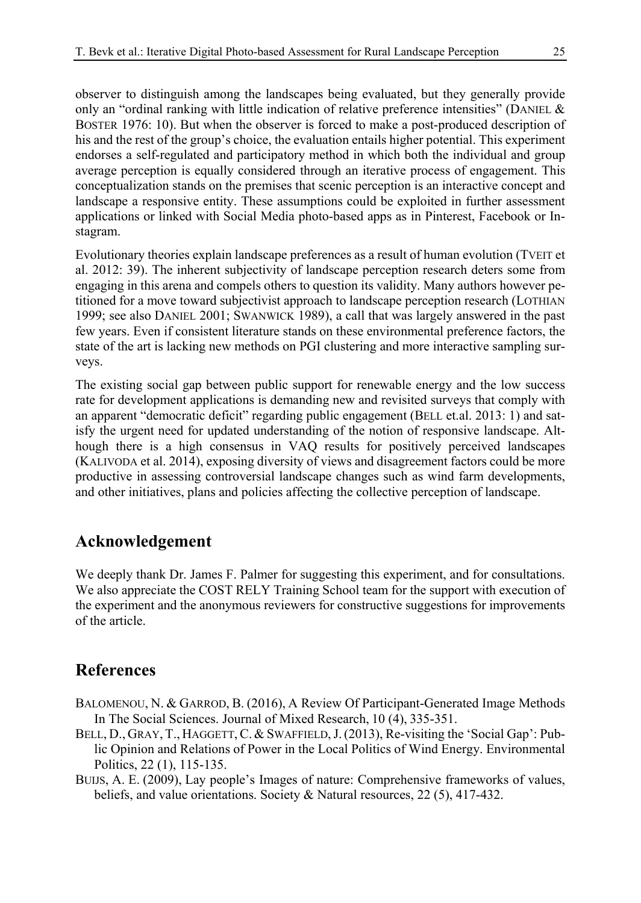observer to distinguish among the landscapes being evaluated, but they generally provide only an "ordinal ranking with little indication of relative preference intensities" (DANIEL  $\&$ BOSTER 1976: 10). But when the observer is forced to make a post-produced description of his and the rest of the group's choice, the evaluation entails higher potential. This experiment endorses a self-regulated and participatory method in which both the individual and group average perception is equally considered through an iterative process of engagement. This conceptualization stands on the premises that scenic perception is an interactive concept and landscape a responsive entity. These assumptions could be exploited in further assessment applications or linked with Social Media photo-based apps as in Pinterest, Facebook or Instagram.

Evolutionary theories explain landscape preferences as a result of human evolution (TVEIT et al. 2012: 39). The inherent subjectivity of landscape perception research deters some from engaging in this arena and compels others to question its validity. Many authors however petitioned for a move toward subjectivist approach to landscape perception research (LOTHIAN 1999; see also DANIEL 2001; SWANWICK 1989), a call that was largely answered in the past few years. Even if consistent literature stands on these environmental preference factors, the state of the art is lacking new methods on PGI clustering and more interactive sampling surveys.

The existing social gap between public support for renewable energy and the low success rate for development applications is demanding new and revisited surveys that comply with an apparent "democratic deficit" regarding public engagement (BELL et.al. 2013: 1) and satisfy the urgent need for updated understanding of the notion of responsive landscape. Although there is a high consensus in VAQ results for positively perceived landscapes (KALIVODA et al. 2014), exposing diversity of views and disagreement factors could be more productive in assessing controversial landscape changes such as wind farm developments, and other initiatives, plans and policies affecting the collective perception of landscape.

#### **Acknowledgement**

We deeply thank Dr. James F. Palmer for suggesting this experiment, and for consultations. We also appreciate the COST RELY Training School team for the support with execution of the experiment and the anonymous reviewers for constructive suggestions for improvements of the article.

## **References**

- BALOMENOU, N. & GARROD, B. (2016), A Review Of Participant-Generated Image Methods In The Social Sciences. Journal of Mixed Research, 10 (4), 335-351.
- BELL, D., GRAY, T., HAGGETT, C. & SWAFFIELD, J. (2013), Re-visiting the 'Social Gap': Public Opinion and Relations of Power in the Local Politics of Wind Energy. Environmental Politics, 22 (1), 115-135.
- BUIJS, A. E. (2009), Lay people's Images of nature: Comprehensive frameworks of values, beliefs, and value orientations. Society & Natural resources, 22 (5), 417-432.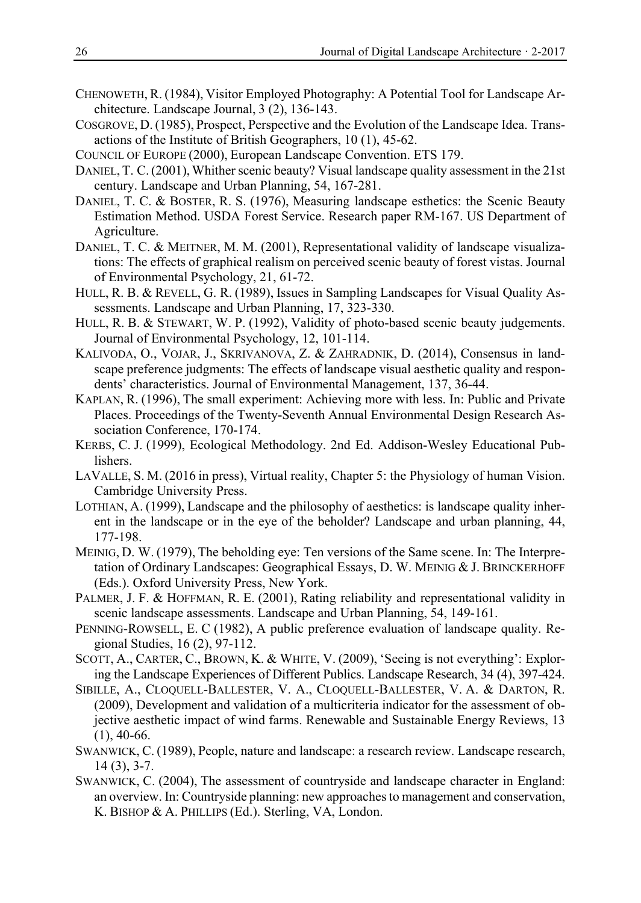- CHENOWETH, R. (1984), Visitor Employed Photography: A Potential Tool for Landscape Architecture. Landscape Journal, 3 (2), 136-143.
- COSGROVE, D. (1985), Prospect, Perspective and the Evolution of the Landscape Idea. Transactions of the Institute of British Geographers, 10 (1), 45-62.
- COUNCIL OF EUROPE (2000), European Landscape Convention. ETS 179.
- DANIEL, T. C. (2001), Whither scenic beauty? Visual landscape quality assessment in the 21st century. Landscape and Urban Planning, 54, 167-281.
- DANIEL, T. C. & BOSTER, R. S. (1976), Measuring landscape esthetics: the Scenic Beauty Estimation Method. USDA Forest Service. Research paper RM-167. US Department of Agriculture.
- DANIEL, T. C. & MEITNER, M. M. (2001), Representational validity of landscape visualizations: The effects of graphical realism on perceived scenic beauty of forest vistas. Journal of Environmental Psychology, 21, 61-72.
- HULL, R. B. & REVELL, G. R. (1989), Issues in Sampling Landscapes for Visual Quality Assessments. Landscape and Urban Planning, 17, 323-330.
- HULL, R. B. & STEWART, W. P. (1992), Validity of photo-based scenic beauty judgements. Journal of Environmental Psychology, 12, 101-114.
- KALIVODA, O., VOJAR, J., SKRIVANOVA, Z. & ZAHRADNIK, D. (2014), Consensus in landscape preference judgments: The effects of landscape visual aesthetic quality and respondents' characteristics. Journal of Environmental Management, 137, 36-44.
- KAPLAN, R. (1996), The small experiment: Achieving more with less. In: Public and Private Places. Proceedings of the Twenty-Seventh Annual Environmental Design Research Association Conference, 170-174.
- KERBS, C. J. (1999), Ecological Methodology. 2nd Ed. Addison-Wesley Educational Publishers.
- LAVALLE, S. M. (2016 in press), Virtual reality, Chapter 5: the Physiology of human Vision. Cambridge University Press.
- LOTHIAN, A. (1999), Landscape and the philosophy of aesthetics: is landscape quality inherent in the landscape or in the eye of the beholder? Landscape and urban planning, 44, 177-198.
- MEINIG, D. W. (1979), The beholding eye: Ten versions of the Same scene. In: The Interpretation of Ordinary Landscapes: Geographical Essays, D. W. MEINIG & J. BRINCKERHOFF (Eds.). Oxford University Press, New York.
- PALMER, J. F. & HOFFMAN, R. E. (2001), Rating reliability and representational validity in scenic landscape assessments. Landscape and Urban Planning, 54, 149-161.
- PENNING-ROWSELL, E. C (1982), A public preference evaluation of landscape quality. Regional Studies, 16 (2), 97-112.
- SCOTT, A., CARTER, C., BROWN, K. & WHITE, V. (2009), 'Seeing is not everything': Exploring the Landscape Experiences of Different Publics. Landscape Research, 34 (4), 397-424.
- SIBILLE, A., CLOQUELL-BALLESTER, V. A., CLOQUELL-BALLESTER, V. A. & DARTON, R. (2009), Development and validation of a multicriteria indicator for the assessment of objective aesthetic impact of wind farms. Renewable and Sustainable Energy Reviews, 13 (1), 40-66.
- SWANWICK, C. (1989), People, nature and landscape: a research review. Landscape research, 14 (3), 3-7.
- SWANWICK, C. (2004), The assessment of countryside and landscape character in England: an overview. In: Countryside planning: new approaches to management and conservation, K. BISHOP & A. PHILLIPS (Ed.). Sterling, VA, London.